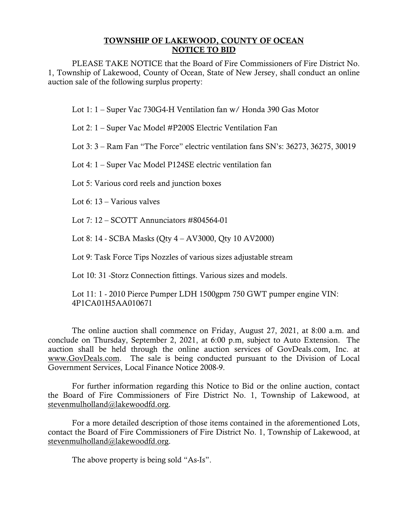## TOWNSHIP OF LAKEWOOD, COUNTY OF OCEAN NOTICE TO BID

PLEASE TAKE NOTICE that the Board of Fire Commissioners of Fire District No. 1, Township of Lakewood, County of Ocean, State of New Jersey, shall conduct an online auction sale of the following surplus property:

Lot 1: 1 – Super Vac 730G4-H Ventilation fan w/ Honda 390 Gas Motor

Lot 2: 1 – Super Vac Model #P200S Electric Ventilation Fan

Lot 3: 3 – Ram Fan "The Force" electric ventilation fans SN's: 36273, 36275, 30019

Lot 4: 1 – Super Vac Model P124SE electric ventilation fan

Lot 5: Various cord reels and junction boxes

Lot 6: 13 – Various valves

Lot  $7: 12 - SCOTT$  Annunciators  $\#804564-01$ 

Lot 8: 14 - SCBA Masks (Qty 4 – AV3000, Qty 10 AV2000)

Lot 9: Task Force Tips Nozzles of various sizes adjustable stream

Lot 10: 31 -Storz Connection fittings. Various sizes and models.

Lot 11: 1 - 2010 Pierce Pumper LDH 1500gpm 750 GWT pumper engine VIN: 4P1CA01H5AA010671

The online auction shall commence on Friday, August 27, 2021, at 8:00 a.m. and conclude on Thursday, September 2, 2021, at 6:00 p.m, subject to Auto Extension. The auction shall be held through the online auction services of GovDeals.com, Inc. at [www.GovDeals.com.](http://www.govdeals.com/) The sale is being conducted pursuant to the Division of Local Government Services, Local Finance Notice 2008-9.

For further information regarding this Notice to Bid or the online auction, contact the Board of Fire Commissioners of Fire District No. 1, Township of Lakewood, at [stevenmulholland@lakewoodfd.org.](mailto:stevenmulholland@lakewoodfd.org)

For a more detailed description of those items contained in the aforementioned Lots, contact the Board of Fire Commissioners of Fire District No. 1, Township of Lakewood, at [stevenmulholland@lakewoodfd.org.](mailto:stevenmulholland@lakewoodfd.org)

The above property is being sold "As-Is".